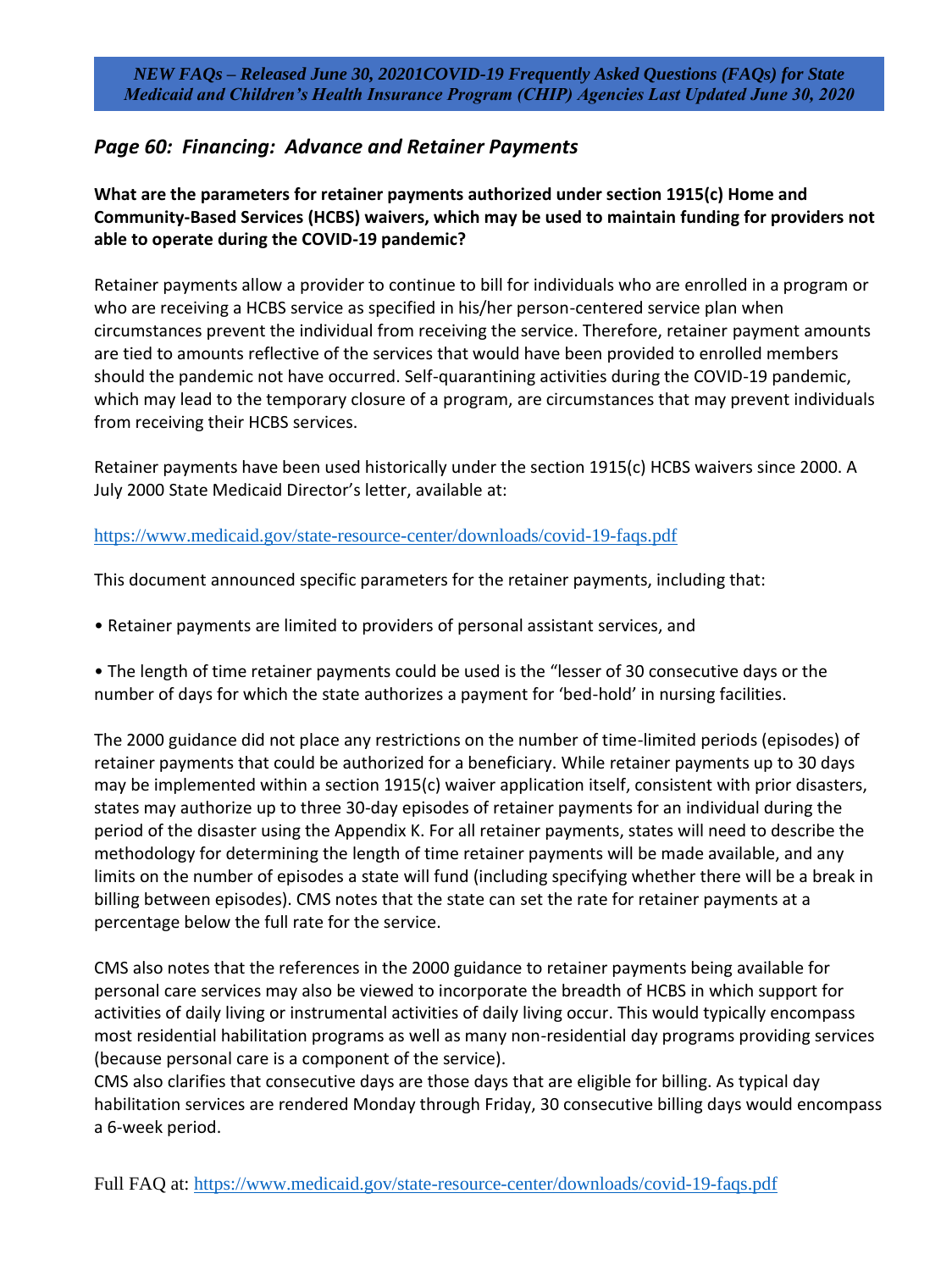*NEW FAQs – Released June 30, 20201COVID-19 Frequently Asked Questions (FAQs) for State Medicaid and Children's Health Insurance Program (CHIP) Agencies Last Updated June 30, 2020*

## *Page 60: Financing: Advance and Retainer Payments*

**What are the parameters for retainer payments authorized under section 1915(c) Home and Community-Based Services (HCBS) waivers, which may be used to maintain funding for providers not able to operate during the COVID-19 pandemic?** 

Retainer payments allow a provider to continue to bill for individuals who are enrolled in a program or who are receiving a HCBS service as specified in his/her person-centered service plan when circumstances prevent the individual from receiving the service. Therefore, retainer payment amounts are tied to amounts reflective of the services that would have been provided to enrolled members should the pandemic not have occurred. Self-quarantining activities during the COVID-19 pandemic, which may lead to the temporary closure of a program, are circumstances that may prevent individuals from receiving their HCBS services.

Retainer payments have been used historically under the section 1915(c) HCBS waivers since 2000. A July 2000 State Medicaid Director's letter, available at:

<https://www.medicaid.gov/state-resource-center/downloads/covid-19-faqs.pdf>

This document announced specific parameters for the retainer payments, including that:

• Retainer payments are limited to providers of personal assistant services, and

• The length of time retainer payments could be used is the "lesser of 30 consecutive days or the number of days for which the state authorizes a payment for 'bed-hold' in nursing facilities.

The 2000 guidance did not place any restrictions on the number of time-limited periods (episodes) of retainer payments that could be authorized for a beneficiary. While retainer payments up to 30 days may be implemented within a section 1915(c) waiver application itself, consistent with prior disasters, states may authorize up to three 30-day episodes of retainer payments for an individual during the period of the disaster using the Appendix K. For all retainer payments, states will need to describe the methodology for determining the length of time retainer payments will be made available, and any limits on the number of episodes a state will fund (including specifying whether there will be a break in billing between episodes). CMS notes that the state can set the rate for retainer payments at a percentage below the full rate for the service.

CMS also notes that the references in the 2000 guidance to retainer payments being available for personal care services may also be viewed to incorporate the breadth of HCBS in which support for activities of daily living or instrumental activities of daily living occur. This would typically encompass most residential habilitation programs as well as many non-residential day programs providing services (because personal care is a component of the service).

CMS also clarifies that consecutive days are those days that are eligible for billing. As typical day habilitation services are rendered Monday through Friday, 30 consecutive billing days would encompass a 6-week period.

Full FAQ at:<https://www.medicaid.gov/state-resource-center/downloads/covid-19-faqs.pdf>